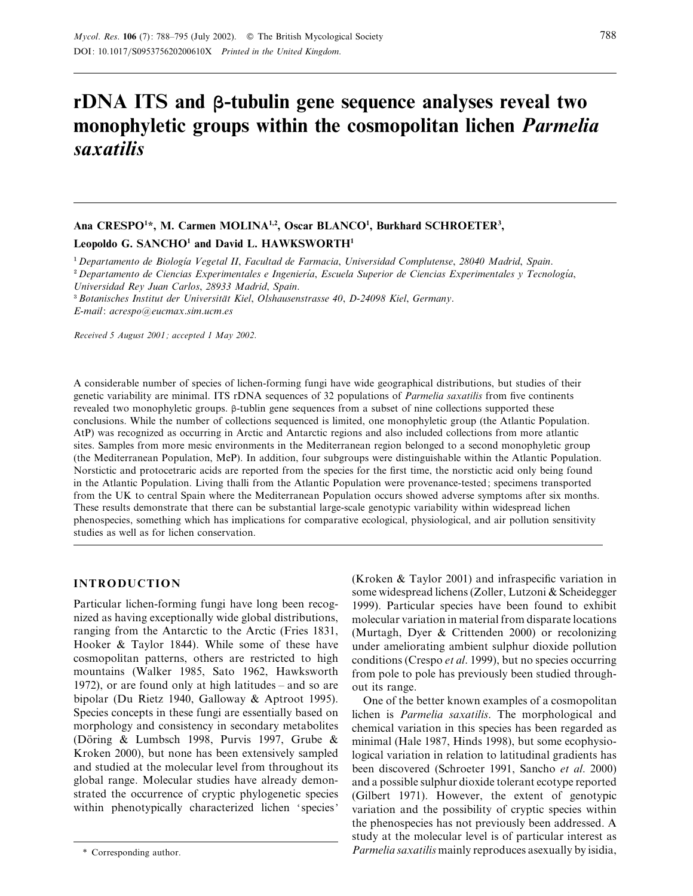# **rDNA ITS and β-tubulin gene sequence analyses reveal two monophyletic groups within the cosmopolitan lichen** *Parmelia saxatilis*

# Ana CRESPO<sup>1\*</sup>, M. Carmen MOLINA<sup>1,2</sup>, Oscar BLANCO<sup>1</sup>, Burkhard SCHROETER<sup>3</sup>,

## **Leopoldo G. SANCHO1 and David L. HAWKSWORTH1**

<sup>1</sup> Departamento de Biología Vegetal II, Facultad de Farmacia, Universidad Complutense, 28040 Madrid, Spain.

<sup>2</sup> Departamento de Ciencias Experimentales e Ingeniería, Escuela Superior de Ciencias Experimentales y Tecnología, *Universidad Rey Juan Carlos*, *28933 Madrid*, *Spain*.

\$*Botanisches Institut der Universita*X*t Kiel*, *Olshausenstrasse 40*, *D-24098 Kiel*, *Germany*.

*E*-*mail*: *acrespo*!*eucmax*.*sim*.*ucm*.*es*

*Received 5 August 2001 ; accepted 1 May 2002.*

A considerable number of species of lichen-forming fungi have wide geographical distributions, but studies of their genetic variability are minimal. ITS rDNA sequences of 32 populations of *Parmelia saxatilis* from five continents revealed two monophyletic groups. β-tublin gene sequences from a subset of nine collections supported these conclusions. While the number of collections sequenced is limited, one monophyletic group (the Atlantic Population. AtP) was recognized as occurring in Arctic and Antarctic regions and also included collections from more atlantic sites. Samples from more mesic environments in the Mediterranean region belonged to a second monophyletic group (the Mediterranean Population, MeP). In addition, four subgroups were distinguishable within the Atlantic Population. Norstictic and protocetraric acids are reported from the species for the first time, the norstictic acid only being found in the Atlantic Population. Living thalli from the Atlantic Population were provenance-tested; specimens transported from the UK to central Spain where the Mediterranean Population occurs showed adverse symptoms after six months. These results demonstrate that there can be substantial large-scale genotypic variability within widespread lichen phenospecies, something which has implications for comparative ecological, physiological, and air pollution sensitivity studies as well as for lichen conservation.

# **INTRODUCTION**

Particular lichen-forming fungi have long been recognized as having exceptionally wide global distributions, ranging from the Antarctic to the Arctic (Fries 1831, Hooker & Taylor 1844). While some of these have cosmopolitan patterns, others are restricted to high mountains (Walker 1985, Sato 1962, Hawksworth 1972), or are found only at high latitudes – and so are bipolar (Du Rietz 1940, Galloway & Aptroot 1995). Species concepts in these fungi are essentially based on morphology and consistency in secondary metabolites (Döring & Lumbsch 1998, Purvis 1997, Grube & Kroken 2000), but none has been extensively sampled and studied at the molecular level from throughout its global range. Molecular studies have already demonstrated the occurrence of cryptic phylogenetic species within phenotypically characterized lichen 'species' (Kroken & Taylor 2001) and infraspecific variation in some widespread lichens (Zoller, Lutzoni & Scheidegger 1999). Particular species have been found to exhibit molecular variation in material from disparate locations (Murtagh, Dyer & Crittenden 2000) or recolonizing under ameliorating ambient sulphur dioxide pollution conditions (Crespo *et al*. 1999), but no species occurring from pole to pole has previously been studied throughout its range.

One of the better known examples of a cosmopolitan lichen is *Parmelia saxatilis*. The morphological and chemical variation in this species has been regarded as minimal (Hale 1987, Hinds 1998), but some ecophysiological variation in relation to latitudinal gradients has been discovered (Schroeter 1991, Sancho *et al*. 2000) and a possible sulphur dioxide tolerant ecotype reported (Gilbert 1971). However, the extent of genotypic variation and the possibility of cryptic species within the phenospecies has not previously been addressed. A study at the molecular level is of particular interest as *Parmelia saxatilis* mainly reproduces asexually by isidia,

<sup>\*</sup> Corresponding author.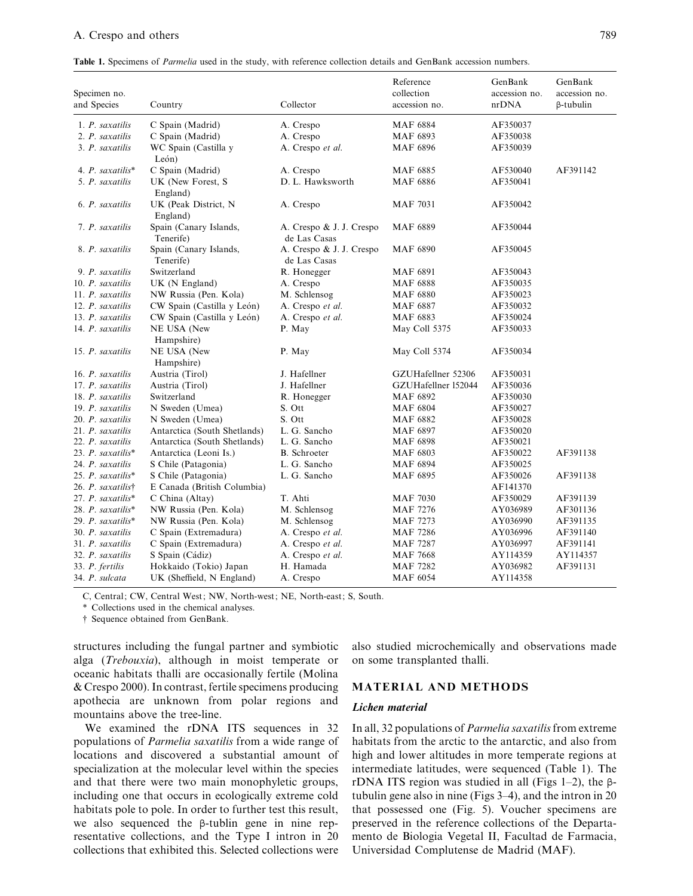# A. Crespo and others 789

Table 1. Specimens of *Parmelia* used in the study, with reference collection details and GenBank accession numbers.

| Specimen no.<br>and Species | Country                             | Collector                                | Reference<br>collection<br>accession no. | GenBank<br>accession no.<br>nrDNA | GenBank<br>accession no.<br>$\beta$ -tubulin |
|-----------------------------|-------------------------------------|------------------------------------------|------------------------------------------|-----------------------------------|----------------------------------------------|
| 1. P. saxatilis             | C Spain (Madrid)                    | A. Crespo                                | <b>MAF 6884</b>                          | AF350037                          |                                              |
| 2. P. saxatilis             | C Spain (Madrid)                    | A. Crespo                                | MAF 6893                                 | AF350038                          |                                              |
| 3. P. saxatilis             | WC Spain (Castilla y<br>León)       | A. Crespo et al.                         | <b>MAF 6896</b>                          | AF350039                          |                                              |
| 4. $P.$ saxatilis*          | C Spain (Madrid)                    | A. Crespo                                | <b>MAF 6885</b>                          | AF530040                          | AF391142                                     |
| 5. P. saxatilis             | UK (New Forest, S<br>England)       | D. L. Hawksworth                         | <b>MAF 6886</b>                          | AF350041                          |                                              |
| 6. P. saxatilis             | UK (Peak District, N<br>England)    | A. Crespo                                | <b>MAF 7031</b>                          | AF350042                          |                                              |
| 7. P. saxatilis             | Spain (Canary Islands,<br>Tenerife) | A. Crespo & J. J. Crespo<br>de Las Casas | <b>MAF 6889</b>                          | AF350044                          |                                              |
| 8. P. saxatilis             | Spain (Canary Islands,<br>Tenerife) | A. Crespo & J. J. Crespo<br>de Las Casas | <b>MAF 6890</b>                          | AF350045                          |                                              |
| 9. P. saxatilis             | Switzerland                         | R. Honegger                              | <b>MAF 6891</b>                          | AF350043                          |                                              |
| 10. P. saxatilis            | $UK(N$ England)                     | A. Crespo                                | <b>MAF 6888</b>                          | AF350035                          |                                              |
| 11. P. saxatilis            | NW Russia (Pen. Kola)               | M. Schlensog                             | <b>MAF 6880</b>                          | AF350023                          |                                              |
| 12. P. saxatilis            | CW Spain (Castilla y León)          | A. Crespo et al.                         | <b>MAF 6887</b>                          | AF350032                          |                                              |
| 13. P. saxatilis            | CW Spain (Castilla y León)          | A. Crespo et al.                         | MAF 6883                                 | AF350024                          |                                              |
| 14. P. saxatilis            | NE USA (New                         | P. May                                   | May Coll 5375                            | AF350033                          |                                              |
|                             | Hampshire)                          |                                          |                                          |                                   |                                              |
| 15. P. saxatilis            | NE USA (New<br>Hampshire)           | P. May                                   | May Coll 5374                            | AF350034                          |                                              |
| 16. P. saxatilis            | Austria (Tirol)                     | J. Hafellner                             | GZUHafellner 52306                       | AF350031                          |                                              |
| 17. P. saxatilis            | Austria (Tirol)                     | J. Hafellner                             | GZUHafellner 152044                      | AF350036                          |                                              |
| 18. P. saxatilis            | Switzerland                         | R. Honegger                              | MAF 6892                                 | AF350030                          |                                              |
| 19. P. saxatilis            | N Sweden (Umea)                     | S. Ott                                   | <b>MAF 6804</b>                          | AF350027                          |                                              |
| 20. P. saxatilis            | N Sweden (Umea)                     | S. Ott                                   | <b>MAF 6882</b>                          | AF350028                          |                                              |
| 21. P. saxatilis            | Antarctica (South Shetlands)        | L. G. Sancho                             | <b>MAF 6897</b>                          | AF350020                          |                                              |
| 22. P. saxatilis            | Antarctica (South Shetlands)        | L. G. Sancho                             | <b>MAF 6898</b>                          | AF350021                          |                                              |
| 23. P. saxatilis*           | Antarctica (Leoni Is.)              | <b>B.</b> Schroeter                      | <b>MAF 6803</b>                          | AF350022                          | AF391138                                     |
| 24. P. saxatilis            | S Chile (Patagonia)                 | L. G. Sancho                             | <b>MAF 6894</b>                          | AF350025                          |                                              |
| 25. P. saxatilis*           | S Chile (Patagonia)                 | L. G. Sancho                             | <b>MAF 6895</b>                          | AF350026                          | AF391138                                     |
| 26. P. saxatilist           | E Canada (British Columbia)         |                                          |                                          | AF141370                          |                                              |
| 27. P. saxatilis*           | C China (Altay)                     | T. Ahti                                  | <b>MAF 7030</b>                          | AF350029                          | AF391139                                     |
| 28. P. saxatilis*           | NW Russia (Pen. Kola)               | M. Schlensog                             | <b>MAF 7276</b>                          | AY036989                          | AF301136                                     |
| 29. P. saxatilis*           | NW Russia (Pen. Kola)               | M. Schlensog                             | <b>MAF 7273</b>                          | AY036990                          | AF391135                                     |
| 30. P. saxatilis            | C Spain (Extremadura)               | A. Crespo et al.                         | <b>MAF 7286</b>                          | AY036996                          | AF391140                                     |
| 31. P. saxatilis            | C Spain (Extremadura)               | A. Crespo et al.                         | <b>MAF 7287</b>                          | AY036997                          | AF391141                                     |
| 32. P. saxatilis            | S Spain (Cádiz)                     | A. Crespo et al.                         | <b>MAF 7668</b>                          | AY114359                          | AY114357                                     |
| 33. P. fertilis             | Hokkaido (Tokio) Japan              | H. Hamada                                | MAF 7282                                 | AY036982                          | AF391131                                     |
| 34. P. sulcata              | UK (Sheffield, N England)           | A. Crespo                                | MAF 6054                                 | AY114358                          |                                              |

C, Central; CW, Central West; NW, North-west; NE, North-east; S, South.

\* Collections used in the chemical analyses.

† Sequence obtained from GenBank.

structures including the fungal partner and symbiotic alga (*Trebouxia*), although in moist temperate or oceanic habitats thalli are occasionally fertile (Molina & Crespo 2000). In contrast, fertile specimens producing apothecia are unknown from polar regions and mountains above the tree-line.

We examined the rDNA ITS sequences in 32 populations of *Parmelia saxatilis* from a wide range of locations and discovered a substantial amount of specialization at the molecular level within the species and that there were two main monophyletic groups, including one that occurs in ecologically extreme cold habitats pole to pole. In order to further test this result, we also sequenced the β-tublin gene in nine representative collections, and the Type I intron in 20 collections that exhibited this. Selected collections were also studied microchemically and observations made on some transplanted thalli.

## **MATERIAL AND METHODS**

## *Lichen material*

In all, 32 populations of *Parmelia saxatilis*from extreme habitats from the arctic to the antarctic, and also from high and lower altitudes in more temperate regions at intermediate latitudes, were sequenced (Table 1). The rDNA ITS region was studied in all (Figs 1–2), the βtubulin gene also in nine (Figs 3–4), and the intron in 20 that possessed one (Fig. 5). Voucher specimens are preserved in the reference collections of the Departamento de Biologia Vegetal II, Facultad de Farmacia, Universidad Complutense de Madrid (MAF).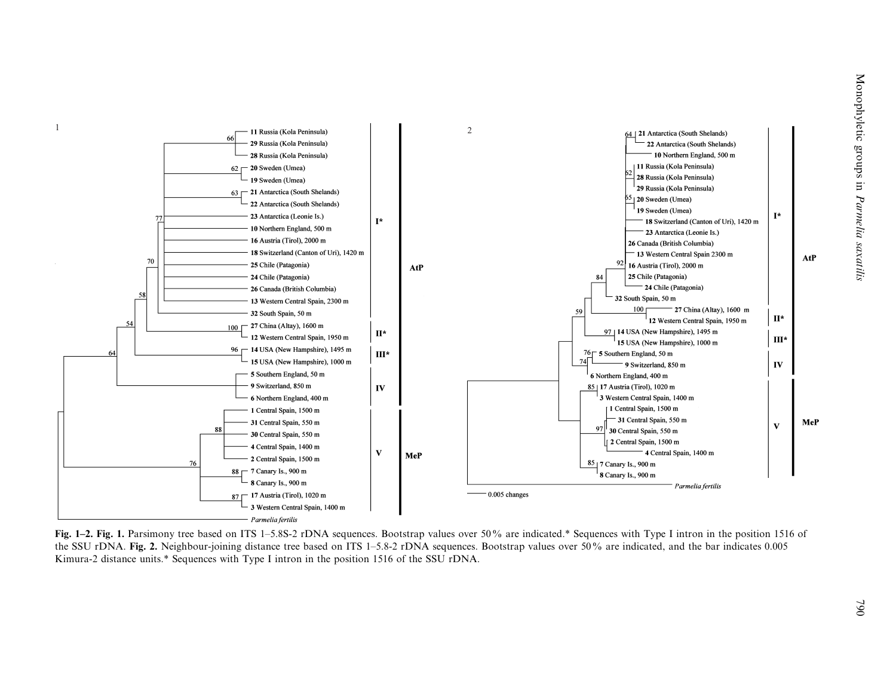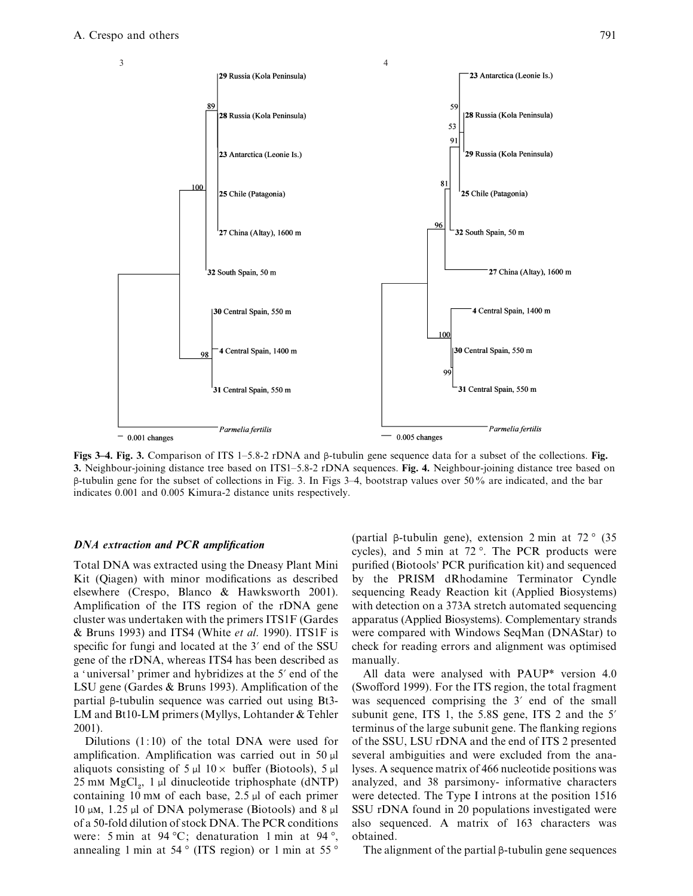

**Figs 3–4. Fig. 3.** Comparison of ITS 1–5.8-2 rDNA and β-tubulin gene sequence data for a subset of the collections. Fig. **3.** Neighbour-joining distance tree based on ITS1–5.8-2 rDNA sequences. Fig. 4. Neighbour-joining distance tree based on β-tubulin gene for the subset of collections in Fig. 3. In Figs 3–4, bootstrap values over 50% are indicated, and the bar indicates 0.001 and 0.005 Kimura-2 distance units respectively.

## *DNA extraction and PCR amplification*

Total DNA was extracted using the Dneasy Plant Mini Kit (Qiagen) with minor modifications as described elsewhere (Crespo, Blanco & Hawksworth 2001). Amplification of the ITS region of the rDNA gene cluster was undertaken with the primers ITS1F (Gardes & Bruns 1993) and ITS4 (White *et al*. 1990). ITS1F is specific for fungi and located at the 3' end of the SSU gene of the rDNA, whereas ITS4 has been described as a 'universal' primer and hybridizes at the 5' end of the LSU gene (Gardes & Bruns 1993). Amplification of the partial β-tubulin sequence was carried out using Bt3- LM and Bt10-LM primers (Myllys, Lohtander & Tehler 2001).

Dilutions  $(1:10)$  of the total DNA were used for amplification. Amplification was carried out in 50 µl aliquots consisting of 5  $\mu$ l 10  $\times$  buffer (Biotools), 5  $\mu$ l  $25 \text{ mm } \text{MgCl}_2$ , 1 µl dinucleotide triphosphate (dNTP) containing 10 mm of each base,  $2.5 \mu$ l of each primer 10  $\mu$ M, 1.25  $\mu$ l of DNA polymerase (Biotools) and 8  $\mu$ l of a 50-fold dilution of stock DNA. The PCR conditions were: 5 min at  $94^{\circ}$ C; denaturation 1 min at  $94^{\circ}$ , annealing 1 min at 54 $\degree$  (ITS region) or 1 min at 55 $\degree$  (partial β-tubulin gene), extension 2 min at 72 ° (35 cycles), and 5 min at 72 °. The PCR products were purified (Biotools' PCR purification kit) and sequenced by the PRISM dRhodamine Terminator Cyndle sequencing Ready Reaction kit (Applied Biosystems) with detection on a 373A stretch automated sequencing apparatus (Applied Biosystems). Complementary strands were compared with Windows SeqMan (DNAStar) to check for reading errors and alignment was optimised manually.

All data were analysed with PAUP\* version 4.0 (Swofford 1999). For the ITS region, the total fragment was sequenced comprising the  $3'$  end of the small subunit gene, ITS 1, the  $5.8S$  gene, ITS 2 and the  $5'$ terminus of the large subunit gene. The flanking regions of the SSU, LSU rDNA and the end of ITS 2 presented several ambiguities and were excluded from the analyses. A sequence matrix of 466 nucleotide positions was analyzed, and 38 parsimony- informative characters were detected. The Type I introns at the position 1516 SSU rDNA found in 20 populations investigated were also sequenced. A matrix of 163 characters was obtained.

The alignment of the partial β-tubulin gene sequences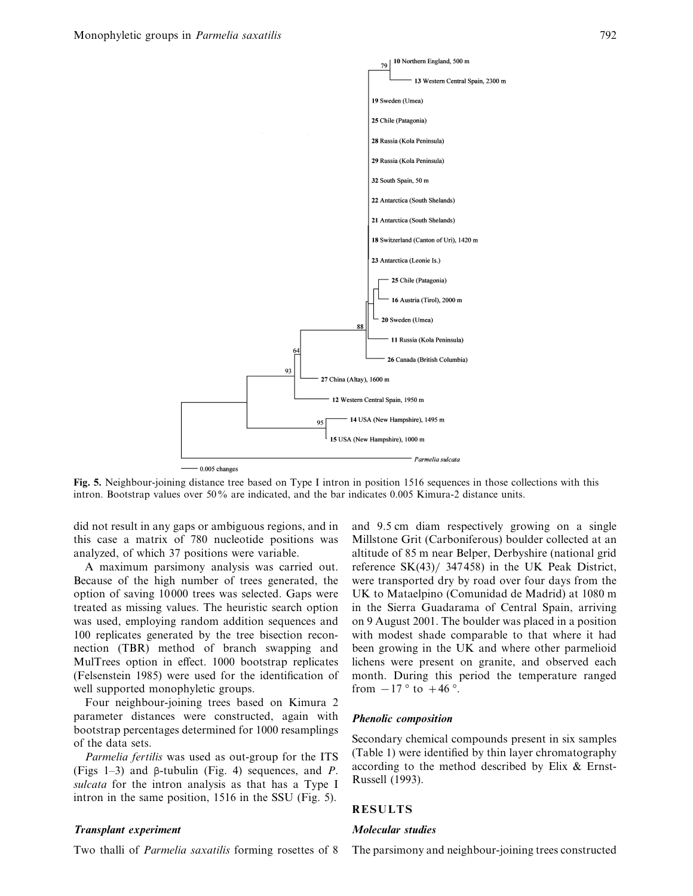

**Fig. 5.** Neighbour-joining distance tree based on Type I intron in position 1516 sequences in those collections with this intron. Bootstrap values over 50% are indicated, and the bar indicates 0.005 Kimura-2 distance units.

did not result in any gaps or ambiguous regions, and in this case a matrix of 780 nucleotide positions was analyzed, of which 37 positions were variable.

A maximum parsimony analysis was carried out. Because of the high number of trees generated, the option of saving 10 000 trees was selected. Gaps were treated as missing values. The heuristic search option was used, employing random addition sequences and 100 replicates generated by the tree bisection reconnection (TBR) method of branch swapping and MulTrees option in effect. 1000 bootstrap replicates (Felsenstein 1985) were used for the identification of well supported monophyletic groups.

Four neighbour-joining trees based on Kimura 2 parameter distances were constructed, again with bootstrap percentages determined for 1000 resamplings of the data sets.

*Parmelia fertilis* was used as out-group for the ITS (Figs 1–3) and β-tubulin (Fig. 4) sequences, and *P*. *sulcata* for the intron analysis as that has a Type I intron in the same position, 1516 in the SSU (Fig. 5).

#### *Transplant experiment*

Two thalli of *Parmelia saxatilis* forming rosettes of 8

and 9.5 cm diam respectively growing on a single Millstone Grit (Carboniferous) boulder collected at an altitude of 85 m near Belper, Derbyshire (national grid reference  $SK(43) / 347458$  in the UK Peak District, were transported dry by road over four days from the UK to Mataelpino (Comunidad de Madrid) at 1080 m in the Sierra Guadarama of Central Spain, arriving on 9 August 2001. The boulder was placed in a position with modest shade comparable to that where it had been growing in the UK and where other parmelioid lichens were present on granite, and observed each month. During this period the temperature ranged from  $-17$ ° to  $+46$ °.

#### *Phenolic composition*

Secondary chemical compounds present in six samples (Table 1) were identified by thin layer chromatography according to the method described by Elix & Ernst-Russell (1993).

# **RESULTS**

#### *Molecular studies*

The parsimony and neighbour-joining trees constructed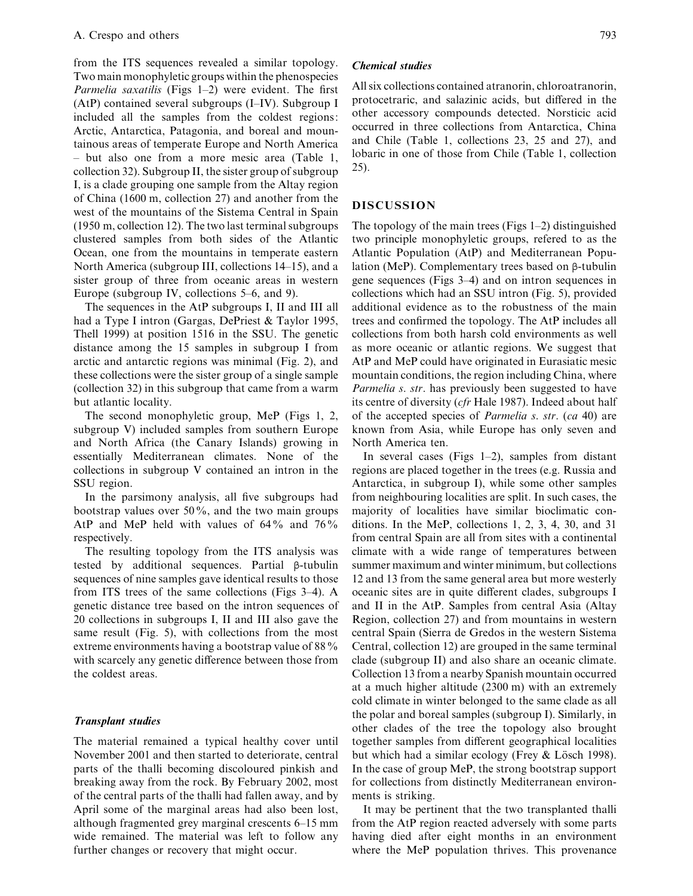from the ITS sequences revealed a similar topology. Two main monophyletic groups within the phenospecies *Parmelia saxatilis* (Figs 1–2) were evident. The first (AtP) contained several subgroups (I–IV). Subgroup I included all the samples from the coldest regions: Arctic, Antarctica, Patagonia, and boreal and mountainous areas of temperate Europe and North America – but also one from a more mesic area (Table 1, collection 32). Subgroup II, the sister group of subgroup I, is a clade grouping one sample from the Altay region of China (1600 m, collection 27) and another from the west of the mountains of the Sistema Central in Spain (1950 m, collection 12). The two last terminal subgroups clustered samples from both sides of the Atlantic Ocean, one from the mountains in temperate eastern North America (subgroup III, collections 14–15), and a sister group of three from oceanic areas in western Europe (subgroup IV, collections 5–6, and 9).

The sequences in the AtP subgroups I, II and III all had a Type I intron (Gargas, DePriest & Taylor 1995, Thell 1999) at position 1516 in the SSU. The genetic distance among the 15 samples in subgroup I from arctic and antarctic regions was minimal (Fig. 2), and these collections were the sister group of a single sample (collection 32) in this subgroup that came from a warm but atlantic locality.

The second monophyletic group, MeP (Figs 1, 2, subgroup V) included samples from southern Europe and North Africa (the Canary Islands) growing in essentially Mediterranean climates. None of the collections in subgroup V contained an intron in the SSU region.

In the parsimony analysis, all five subgroups had bootstrap values over 50%, and the two main groups AtP and MeP held with values of  $64\%$  and  $76\%$ respectively.

The resulting topology from the ITS analysis was tested by additional sequences. Partial β-tubulin sequences of nine samples gave identical results to those from ITS trees of the same collections (Figs 3–4). A genetic distance tree based on the intron sequences of 20 collections in subgroups I, II and III also gave the same result (Fig. 5), with collections from the most extreme environments having a bootstrap value of 88% with scarcely any genetic difference between those from the coldest areas.

# *Transplant studies*

The material remained a typical healthy cover until November 2001 and then started to deteriorate, central parts of the thalli becoming discoloured pinkish and breaking away from the rock. By February 2002, most of the central parts of the thalli had fallen away, and by April some of the marginal areas had also been lost, although fragmented grey marginal crescents 6–15 mm wide remained. The material was left to follow any further changes or recovery that might occur.

## *Chemical studies*

All six collections contained atranorin, chloroatranorin, protocetraric, and salazinic acids, but differed in the other accessory compounds detected. Norsticic acid occurred in three collections from Antarctica, China and Chile (Table 1, collections 23, 25 and 27), and lobaric in one of those from Chile (Table 1, collection 25).

# **DISCUSSION**

The topology of the main trees (Figs  $1-2$ ) distinguished two principle monophyletic groups, refered to as the Atlantic Population (AtP) and Mediterranean Population (MeP). Complementary trees based on β-tubulin gene sequences (Figs 3–4) and on intron sequences in collections which had an SSU intron (Fig. 5), provided additional evidence as to the robustness of the main trees and confirmed the topology. The AtP includes all collections from both harsh cold environments as well as more oceanic or atlantic regions. We suggest that AtP and MeP could have originated in Eurasiatic mesic mountain conditions, the region including China, where *Parmelia s*. *str*. has previously been suggested to have its centre of diversity (*cfr* Hale 1987). Indeed about half of the accepted species of *Parmelia s*. *str*. (*ca* 40) are known from Asia, while Europe has only seven and North America ten.

In several cases (Figs  $1-2$ ), samples from distant regions are placed together in the trees (e.g. Russia and Antarctica, in subgroup I), while some other samples from neighbouring localities are split. In such cases, the majority of localities have similar bioclimatic conditions. In the MeP, collections 1, 2, 3, 4, 30, and 31 from central Spain are all from sites with a continental climate with a wide range of temperatures between summer maximum and winter minimum, but collections 12 and 13 from the same general area but more westerly oceanic sites are in quite different clades, subgroups I and II in the AtP. Samples from central Asia (Altay Region, collection 27) and from mountains in western central Spain (Sierra de Gredos in the western Sistema Central, collection 12) are grouped in the same terminal clade (subgroup II) and also share an oceanic climate. Collection 13 from a nearby Spanish mountain occurred at a much higher altitude (2300 m) with an extremely cold climate in winter belonged to the same clade as all the polar and boreal samples (subgroup I). Similarly, in other clades of the tree the topology also brought together samples from different geographical localities but which had a similar ecology (Frey  $&$  Lösch 1998). In the case of group MeP, the strong bootstrap support for collections from distinctly Mediterranean environments is striking.

It may be pertinent that the two transplanted thalli from the AtP region reacted adversely with some parts having died after eight months in an environment where the MeP population thrives. This provenance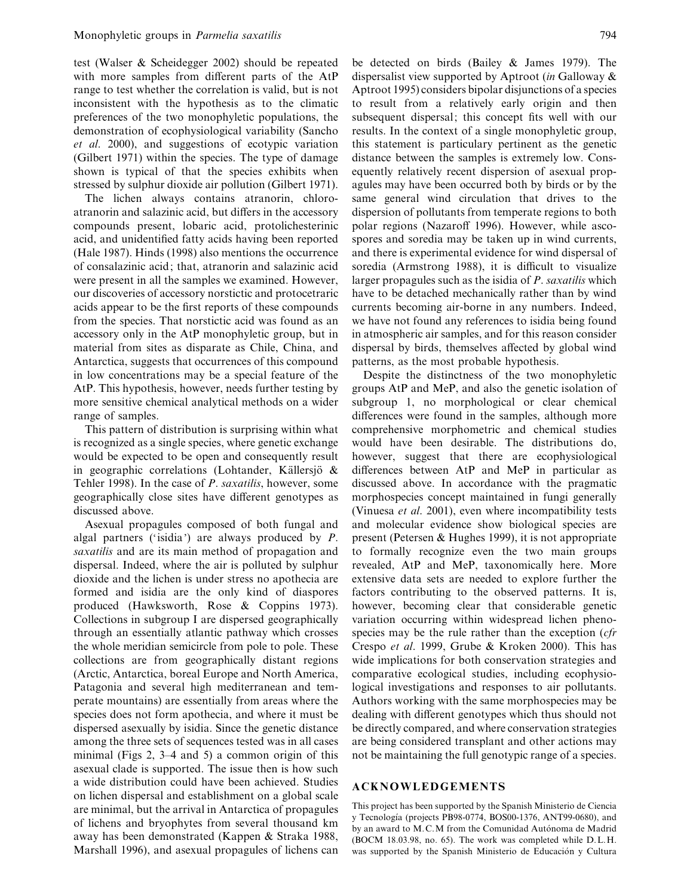test (Walser & Scheidegger 2002) should be repeated with more samples from different parts of the AtP range to test whether the correlation is valid, but is not inconsistent with the hypothesis as to the climatic preferences of the two monophyletic populations, the demonstration of ecophysiological variability (Sancho *et al*. 2000), and suggestions of ecotypic variation (Gilbert 1971) within the species. The type of damage shown is typical of that the species exhibits when stressed by sulphur dioxide air pollution (Gilbert 1971).

The lichen always contains atranorin, chloroatranorin and salazinic acid, but differs in the accessory compounds present, lobaric acid, protolichesterinic acid, and unidentified fatty acids having been reported (Hale 1987). Hinds (1998) also mentions the occurrence of consalazinic acid; that, atranorin and salazinic acid were present in all the samples we examined. However, our discoveries of accessory norstictic and protocetraric acids appear to be the first reports of these compounds from the species. That norstictic acid was found as an accessory only in the AtP monophyletic group, but in material from sites as disparate as Chile, China, and Antarctica, suggests that occurrences of this compound in low concentrations may be a special feature of the AtP. This hypothesis, however, needs further testing by more sensitive chemical analytical methods on a wider range of samples.

This pattern of distribution is surprising within what is recognized as a single species, where genetic exchange would be expected to be open and consequently result in geographic correlations (Lohtander, Källersjö  $\&$ Tehler 1998). In the case of *P*. *saxatilis*, however, some geographically close sites have different genotypes as discussed above.

Asexual propagules composed of both fungal and algal partners ('isidia') are always produced by *P*. *saxatilis* and are its main method of propagation and dispersal. Indeed, where the air is polluted by sulphur dioxide and the lichen is under stress no apothecia are formed and isidia are the only kind of diaspores produced (Hawksworth, Rose & Coppins 1973). Collections in subgroup I are dispersed geographically through an essentially atlantic pathway which crosses the whole meridian semicircle from pole to pole. These collections are from geographically distant regions (Arctic, Antarctica, boreal Europe and North America, Patagonia and several high mediterranean and temperate mountains) are essentially from areas where the species does not form apothecia, and where it must be dispersed asexually by isidia. Since the genetic distance among the three sets of sequences tested was in all cases minimal (Figs 2, 3–4 and 5) a common origin of this asexual clade is supported. The issue then is how such a wide distribution could have been achieved. Studies on lichen dispersal and establishment on a global scale are minimal, but the arrival in Antarctica of propagules of lichens and bryophytes from several thousand km away has been demonstrated (Kappen & Straka 1988, Marshall 1996), and asexual propagules of lichens can

be detected on birds (Bailey & James 1979). The dispersalist view supported by Aptroot (*in* Galloway & Aptroot 1995) considers bipolar disjunctions of a species to result from a relatively early origin and then subsequent dispersal; this concept fits well with our results. In the context of a single monophyletic group, this statement is particulary pertinent as the genetic distance between the samples is extremely low. Consequently relatively recent dispersion of asexual propagules may have been occurred both by birds or by the same general wind circulation that drives to the dispersion of pollutants from temperate regions to both polar regions (Nazaroff 1996). However, while ascospores and soredia may be taken up in wind currents, and there is experimental evidence for wind dispersal of soredia (Armstrong 1988), it is difficult to visualize larger propagules such as the isidia of *P*. *saxatilis* which have to be detached mechanically rather than by wind currents becoming air-borne in any numbers. Indeed, we have not found any references to isidia being found in atmospheric air samples, and for this reason consider dispersal by birds, themselves affected by global wind patterns, as the most probable hypothesis.

Despite the distinctness of the two monophyletic groups AtP and MeP, and also the genetic isolation of subgroup 1, no morphological or clear chemical differences were found in the samples, although more comprehensive morphometric and chemical studies would have been desirable. The distributions do, however, suggest that there are ecophysiological differences between AtP and MeP in particular as discussed above. In accordance with the pragmatic morphospecies concept maintained in fungi generally (Vinuesa *et al*. 2001), even where incompatibility tests and molecular evidence show biological species are present (Petersen & Hughes 1999), it is not appropriate to formally recognize even the two main groups revealed, AtP and MeP, taxonomically here. More extensive data sets are needed to explore further the factors contributing to the observed patterns. It is, however, becoming clear that considerable genetic variation occurring within widespread lichen phenospecies may be the rule rather than the exception (*cfr* Crespo *et al*. 1999, Grube & Kroken 2000). This has wide implications for both conservation strategies and comparative ecological studies, including ecophysiological investigations and responses to air pollutants. Authors working with the same morphospecies may be dealing with different genotypes which thus should not be directly compared, and where conservation strategies are being considered transplant and other actions may not be maintaining the full genotypic range of a species.

# **ACKNOWLEDGEMENTS**

This project has been supported by the Spanish Ministerio de Ciencia y Tecnología (projects PB98-0774, BOS00-1376, ANT99-0680), and by an award to M.C.M from the Comunidad Autónoma de Madrid (BOCM 18.03.98, no. 65). The work was completed while D.L.H. was supported by the Spanish Ministerio de Educación y Cultura